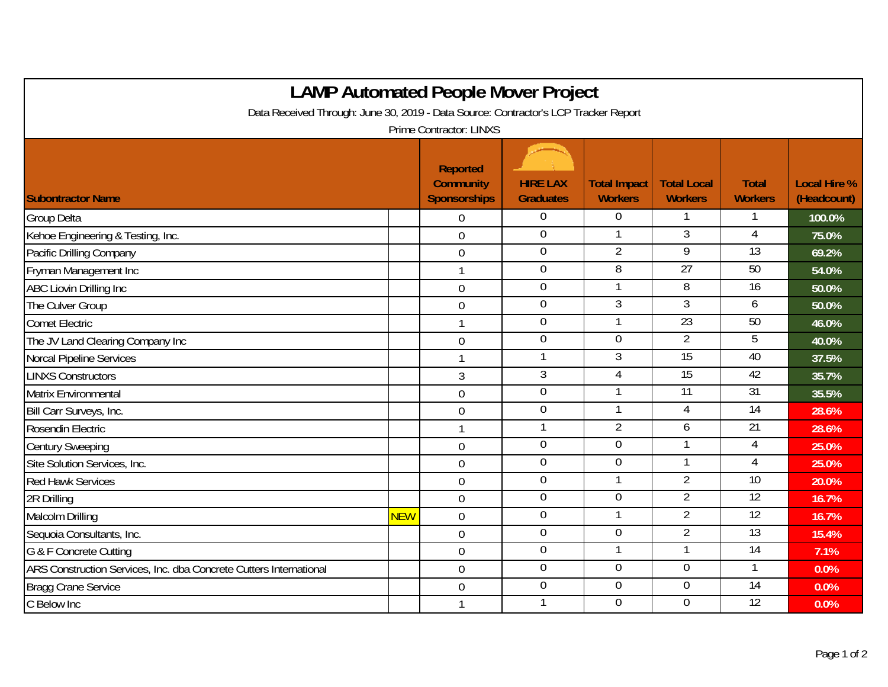| <b>LAMP Automated People Mover Project</b>                                          |            |                                                            |                                     |                                       |                                      |                                |                                    |  |  |  |  |  |
|-------------------------------------------------------------------------------------|------------|------------------------------------------------------------|-------------------------------------|---------------------------------------|--------------------------------------|--------------------------------|------------------------------------|--|--|--|--|--|
| Data Received Through: June 30, 2019 - Data Source: Contractor's LCP Tracker Report |            |                                                            |                                     |                                       |                                      |                                |                                    |  |  |  |  |  |
| <b>Prime Contractor: LINXS</b>                                                      |            |                                                            |                                     |                                       |                                      |                                |                                    |  |  |  |  |  |
| <b>Subontractor Name</b>                                                            |            | <b>Reported</b><br><b>Community</b><br><b>Sponsorships</b> | <b>HIRE LAX</b><br><b>Graduates</b> | <b>Total Impact</b><br><b>Workers</b> | <b>Total Local</b><br><b>Workers</b> | <b>Total</b><br><b>Workers</b> | <b>Local Hire %</b><br>(Headcount) |  |  |  |  |  |
| <b>Group Delta</b>                                                                  |            | $\overline{0}$                                             | $\boldsymbol{0}$                    | $\overline{0}$                        |                                      |                                | 100.0%                             |  |  |  |  |  |
| Kehoe Engineering & Testing, Inc.                                                   |            | $\mathbf 0$                                                | $\boldsymbol{0}$                    |                                       | $\overline{3}$                       | 4                              | 75.0%                              |  |  |  |  |  |
| Pacific Drilling Company                                                            |            | $\mathbf 0$                                                | $\boldsymbol{0}$                    | $\overline{2}$                        | 9                                    | $\overline{13}$                | 69.2%                              |  |  |  |  |  |
| Fryman Management Inc                                                               |            |                                                            | $\overline{0}$                      | 8                                     | 27                                   | 50                             | 54.0%                              |  |  |  |  |  |
| ABC Liovin Drilling Inc                                                             |            | $\overline{0}$                                             | $\boldsymbol{0}$                    |                                       | $\overline{8}$                       | $\overline{16}$                | 50.0%                              |  |  |  |  |  |
| The Culver Group                                                                    |            | $\overline{0}$                                             | $\boldsymbol{0}$                    | 3                                     | $\overline{3}$                       | 6                              | 50.0%                              |  |  |  |  |  |
| <b>Comet Electric</b>                                                               |            |                                                            | $\boldsymbol{0}$                    |                                       | 23                                   | 50                             | 46.0%                              |  |  |  |  |  |
| The JV Land Clearing Company Inc                                                    |            | $\overline{0}$                                             | $\overline{0}$                      | $\overline{0}$                        | $\overline{2}$                       | 5                              | 40.0%                              |  |  |  |  |  |
| Norcal Pipeline Services                                                            |            |                                                            | $\mathbf{1}$                        | $\overline{3}$                        | 15                                   | 40                             | 37.5%                              |  |  |  |  |  |
| <b>LINXS Constructors</b>                                                           |            | $\mathfrak{Z}$                                             | $\mathfrak{Z}$                      | 4                                     | $\overline{15}$                      | 42                             | 35.7%                              |  |  |  |  |  |
| <b>Matrix Environmental</b>                                                         |            | $\mathbf 0$                                                | $\boldsymbol{0}$                    |                                       | $\overline{11}$                      | 31                             | 35.5%                              |  |  |  |  |  |
| Bill Carr Surveys, Inc.                                                             |            | $0\,$                                                      | $\boldsymbol{0}$                    |                                       | 4                                    | $\overline{14}$                | 28.6%                              |  |  |  |  |  |
| Rosendin Electric                                                                   |            |                                                            | $\mathbf{1}$                        | $\overline{2}$                        | 6                                    | 21                             | 28.6%                              |  |  |  |  |  |
| <b>Century Sweeping</b>                                                             |            | $\overline{0}$                                             | $\boldsymbol{0}$                    | $\overline{0}$                        |                                      | 4                              | 25.0%                              |  |  |  |  |  |
| Site Solution Services, Inc.                                                        |            | $\mathbf 0$                                                | $\mathbf 0$                         | $\overline{0}$                        |                                      | 4                              | 25.0%                              |  |  |  |  |  |
| <b>Red Hawk Services</b>                                                            |            | $\overline{0}$                                             | $\boldsymbol{0}$                    |                                       | $\overline{2}$                       | $\overline{10}$                | 20.0%                              |  |  |  |  |  |
| 2R Drilling                                                                         |            | $\mathbf 0$                                                | $\boldsymbol{0}$                    | $\overline{0}$                        | $\overline{2}$                       | 12                             | 16.7%                              |  |  |  |  |  |
| Malcolm Drilling                                                                    | <b>NEW</b> | $\overline{0}$                                             | $\overline{0}$                      |                                       | $\overline{2}$                       | 12                             | 16.7%                              |  |  |  |  |  |
| Sequoia Consultants, Inc.                                                           |            | $\mathbf 0$                                                | $\boldsymbol{0}$                    | $\mathbf 0$                           | $\overline{2}$                       | $\overline{13}$                | 15.4%                              |  |  |  |  |  |
| G & F Concrete Cutting                                                              |            | $\boldsymbol{0}$                                           | $\boldsymbol{0}$                    |                                       |                                      | 14                             | 7.1%                               |  |  |  |  |  |
| ARS Construction Services, Inc. dba Concrete Cutters International                  |            | $\mathbf 0$                                                | $\boldsymbol{0}$                    | $\overline{0}$                        | $\overline{0}$                       | 1                              | 0.0%                               |  |  |  |  |  |
| Bragg Crane Service                                                                 |            | $\overline{0}$                                             | $\overline{0}$                      | $\overline{0}$                        | $\overline{0}$                       | 14                             | 0.0%                               |  |  |  |  |  |
| C Below Inc                                                                         |            |                                                            | 1                                   | $\overline{0}$                        | $\overline{0}$                       | 12                             | 0.0%                               |  |  |  |  |  |